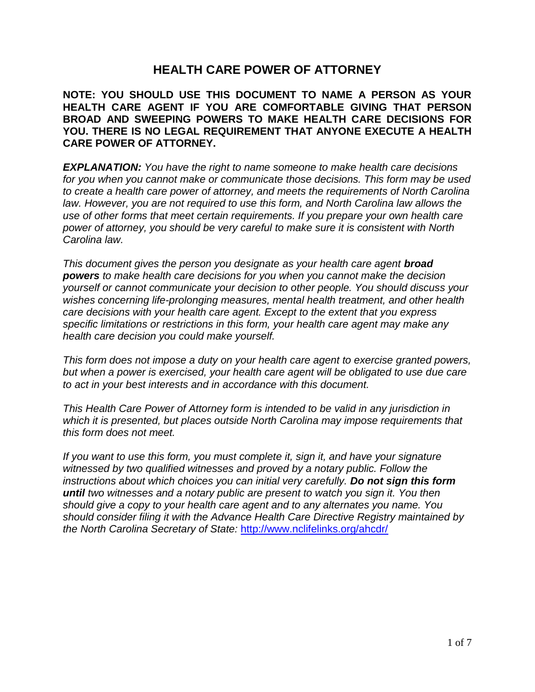# **HEALTH CARE POWER OF ATTORNEY**

**NOTE: YOU SHOULD USE THIS DOCUMENT TO NAME A PERSON AS YOUR HEALTH CARE AGENT IF YOU ARE COMFORTABLE GIVING THAT PERSON BROAD AND SWEEPING POWERS TO MAKE HEALTH CARE DECISIONS FOR YOU. THERE IS NO LEGAL REQUIREMENT THAT ANYONE EXECUTE A HEALTH CARE POWER OF ATTORNEY.**

*EXPLANATION: You have the right to name someone to make health care decisions for you when you cannot make or communicate those decisions. This form may be used to create a health care power of attorney, and meets the requirements of North Carolina law. However, you are not required to use this form, and North Carolina law allows the use of other forms that meet certain requirements. If you prepare your own health care power of attorney, you should be very careful to make sure it is consistent with North Carolina law.*

*This document gives the person you designate as your health care agent broad powers to make health care decisions for you when you cannot make the decision yourself or cannot communicate your decision to other people. You should discuss your wishes concerning life-prolonging measures, mental health treatment, and other health care decisions with your health care agent. Except to the extent that you express specific limitations or restrictions in this form, your health care agent may make any health care decision you could make yourself.*

*This form does not impose a duty on your health care agent to exercise granted powers, but when a power is exercised, your health care agent will be obligated to use due care to act in your best interests and in accordance with this document.*

*This Health Care Power of Attorney form is intended to be valid in any jurisdiction in which it is presented, but places outside North Carolina may impose requirements that this form does not meet.*

*If you want to use this form, you must complete it, sign it, and have your signature witnessed by two qualified witnesses and proved by a notary public. Follow the instructions about which choices you can initial very carefully. Do not sign this form until two witnesses and a notary public are present to watch you sign it. You then should give a copy to your health care agent and to any alternates you name. You should consider filing it with the Advance Health Care Directive Registry maintained by the North Carolina Secretary of State:* <http://www.nclifelinks.org/ahcdr/>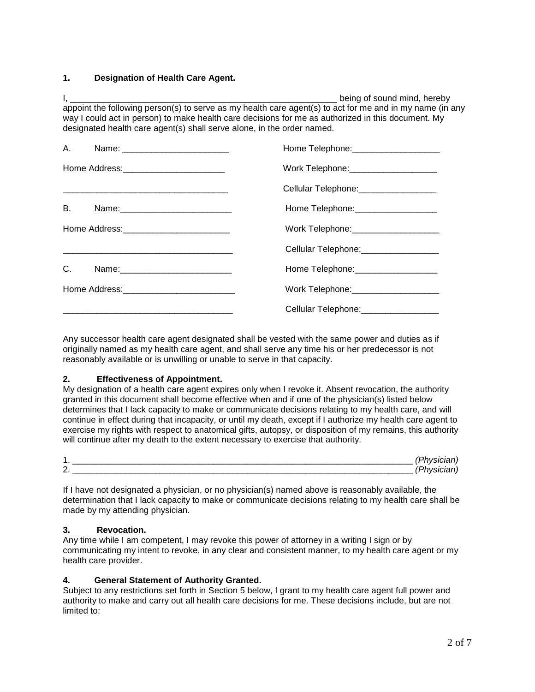# **1. Designation of Health Care Agent.**

| being of sound mind, hereby                                                                              |
|----------------------------------------------------------------------------------------------------------|
| appoint the following person(s) to serve as my health care agent(s) to act for me and in my name (in any |
| way I could act in person) to make health care decisions for me as authorized in this document. My       |
| designated health care agent(s) shall serve alone, in the order named.                                   |

|                                                                                                                 | Home Telephone: _______________________  |
|-----------------------------------------------------------------------------------------------------------------|------------------------------------------|
|                                                                                                                 | Work Telephone: ______________________   |
| and the state of the state of the state of the state of the state of the state of the state of the state of the | Cellular Telephone: _________________    |
| <b>B.</b>                                                                                                       |                                          |
|                                                                                                                 | Work Telephone: ______________________   |
|                                                                                                                 | Cellular Telephone: ___________________  |
| С.                                                                                                              | Home Telephone: Management Communication |
|                                                                                                                 | Work Telephone: _____________________    |
|                                                                                                                 | Cellular Telephone: __________________   |

Any successor health care agent designated shall be vested with the same power and duties as if originally named as my health care agent, and shall serve any time his or her predecessor is not reasonably available or is unwilling or unable to serve in that capacity.

### **2. Effectiveness of Appointment.**

My designation of a health care agent expires only when I revoke it. Absent revocation, the authority granted in this document shall become effective when and if one of the physician(s) listed below determines that I lack capacity to make or communicate decisions relating to my health care, and will continue in effect during that incapacity, or until my death, except if I authorize my health care agent to exercise my rights with respect to anatomical gifts, autopsy, or disposition of my remains, this authority will continue after my death to the extent necessary to exercise that authority.

| ◠<br>- |  |
|--------|--|

If I have not designated a physician, or no physician(s) named above is reasonably available, the determination that I lack capacity to make or communicate decisions relating to my health care shall be made by my attending physician.

### **3. Revocation.**

Any time while I am competent, I may revoke this power of attorney in a writing I sign or by communicating my intent to revoke, in any clear and consistent manner, to my health care agent or my health care provider.

### **4. General Statement of Authority Granted.**

Subject to any restrictions set forth in Section 5 below, I grant to my health care agent full power and authority to make and carry out all health care decisions for me. These decisions include, but are not limited to: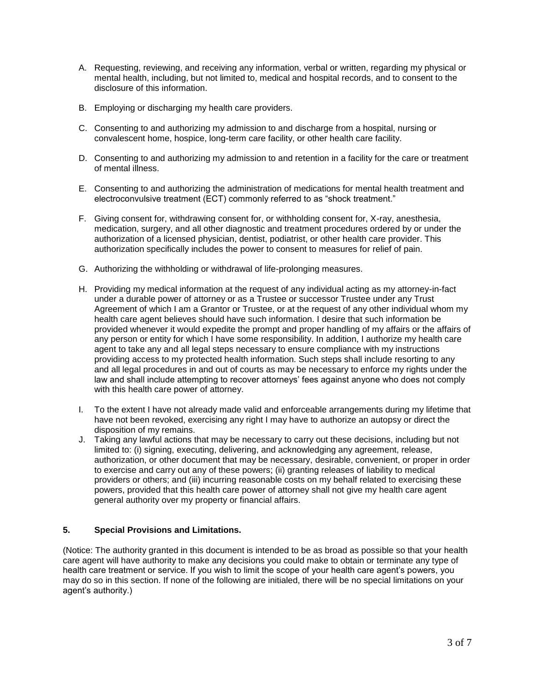- A. Requesting, reviewing, and receiving any information, verbal or written, regarding my physical or mental health, including, but not limited to, medical and hospital records, and to consent to the disclosure of this information.
- B. Employing or discharging my health care providers.
- C. Consenting to and authorizing my admission to and discharge from a hospital, nursing or convalescent home, hospice, long-term care facility, or other health care facility.
- D. Consenting to and authorizing my admission to and retention in a facility for the care or treatment of mental illness.
- E. Consenting to and authorizing the administration of medications for mental health treatment and electroconvulsive treatment (ECT) commonly referred to as "shock treatment."
- F. Giving consent for, withdrawing consent for, or withholding consent for, X-ray, anesthesia, medication, surgery, and all other diagnostic and treatment procedures ordered by or under the authorization of a licensed physician, dentist, podiatrist, or other health care provider. This authorization specifically includes the power to consent to measures for relief of pain.
- G. Authorizing the withholding or withdrawal of life-prolonging measures.
- H. Providing my medical information at the request of any individual acting as my attorney-in-fact under a durable power of attorney or as a Trustee or successor Trustee under any Trust Agreement of which I am a Grantor or Trustee, or at the request of any other individual whom my health care agent believes should have such information. I desire that such information be provided whenever it would expedite the prompt and proper handling of my affairs or the affairs of any person or entity for which I have some responsibility. In addition, I authorize my health care agent to take any and all legal steps necessary to ensure compliance with my instructions providing access to my protected health information. Such steps shall include resorting to any and all legal procedures in and out of courts as may be necessary to enforce my rights under the law and shall include attempting to recover attorneys' fees against anyone who does not comply with this health care power of attorney.
- I. To the extent I have not already made valid and enforceable arrangements during my lifetime that have not been revoked, exercising any right I may have to authorize an autopsy or direct the disposition of my remains.
- J. Taking any lawful actions that may be necessary to carry out these decisions, including but not limited to: (i) signing, executing, delivering, and acknowledging any agreement, release, authorization, or other document that may be necessary, desirable, convenient, or proper in order to exercise and carry out any of these powers; (ii) granting releases of liability to medical providers or others; and (iii) incurring reasonable costs on my behalf related to exercising these powers, provided that this health care power of attorney shall not give my health care agent general authority over my property or financial affairs.

### **5. Special Provisions and Limitations.**

(Notice: The authority granted in this document is intended to be as broad as possible so that your health care agent will have authority to make any decisions you could make to obtain or terminate any type of health care treatment or service. If you wish to limit the scope of your health care agent's powers, you may do so in this section. If none of the following are initialed, there will be no special limitations on your agent's authority.)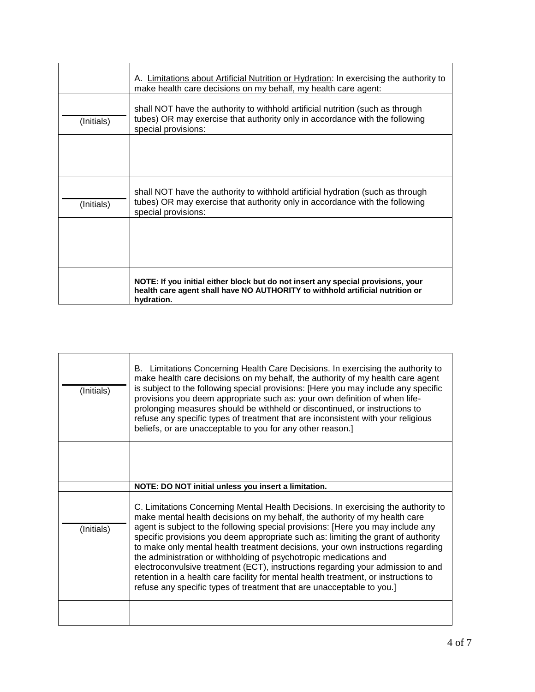|            | A. Limitations about Artificial Nutrition or Hydration: In exercising the authority to<br>make health care decisions on my behalf, my health care agent:                             |
|------------|--------------------------------------------------------------------------------------------------------------------------------------------------------------------------------------|
| (Initials) | shall NOT have the authority to withhold artificial nutrition (such as through<br>tubes) OR may exercise that authority only in accordance with the following<br>special provisions: |
|            |                                                                                                                                                                                      |
| (Initials) | shall NOT have the authority to withhold artificial hydration (such as through<br>tubes) OR may exercise that authority only in accordance with the following<br>special provisions: |
|            |                                                                                                                                                                                      |
|            | NOTE: If you initial either block but do not insert any special provisions, your<br>health care agent shall have NO AUTHORITY to withhold artificial nutrition or<br>hydration.      |

| (Initials) | B. Limitations Concerning Health Care Decisions. In exercising the authority to<br>make health care decisions on my behalf, the authority of my health care agent<br>is subject to the following special provisions: [Here you may include any specific<br>provisions you deem appropriate such as: your own definition of when life-<br>prolonging measures should be withheld or discontinued, or instructions to<br>refuse any specific types of treatment that are inconsistent with your religious<br>beliefs, or are unacceptable to you for any other reason.]                                                                                                                                                                              |
|------------|----------------------------------------------------------------------------------------------------------------------------------------------------------------------------------------------------------------------------------------------------------------------------------------------------------------------------------------------------------------------------------------------------------------------------------------------------------------------------------------------------------------------------------------------------------------------------------------------------------------------------------------------------------------------------------------------------------------------------------------------------|
|            |                                                                                                                                                                                                                                                                                                                                                                                                                                                                                                                                                                                                                                                                                                                                                    |
|            | NOTE: DO NOT initial unless you insert a limitation.                                                                                                                                                                                                                                                                                                                                                                                                                                                                                                                                                                                                                                                                                               |
| (Initials) | C. Limitations Concerning Mental Health Decisions. In exercising the authority to<br>make mental health decisions on my behalf, the authority of my health care<br>agent is subject to the following special provisions: [Here you may include any<br>specific provisions you deem appropriate such as: limiting the grant of authority<br>to make only mental health treatment decisions, your own instructions regarding<br>the administration or withholding of psychotropic medications and<br>electroconvulsive treatment (ECT), instructions regarding your admission to and<br>retention in a health care facility for mental health treatment, or instructions to<br>refuse any specific types of treatment that are unacceptable to you.] |
|            |                                                                                                                                                                                                                                                                                                                                                                                                                                                                                                                                                                                                                                                                                                                                                    |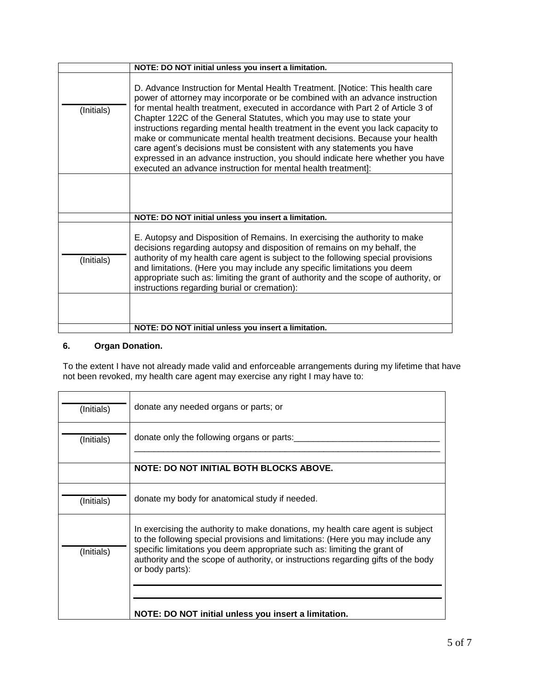|            | NOTE: DO NOT initial unless you insert a limitation.                                                                                                                                                                                                                                                                                                                                                                                                                                                                                                                                                                                                                                                                     |  |  |  |
|------------|--------------------------------------------------------------------------------------------------------------------------------------------------------------------------------------------------------------------------------------------------------------------------------------------------------------------------------------------------------------------------------------------------------------------------------------------------------------------------------------------------------------------------------------------------------------------------------------------------------------------------------------------------------------------------------------------------------------------------|--|--|--|
| (Initials) | D. Advance Instruction for Mental Health Treatment. [Notice: This health care<br>power of attorney may incorporate or be combined with an advance instruction<br>for mental health treatment, executed in accordance with Part 2 of Article 3 of<br>Chapter 122C of the General Statutes, which you may use to state your<br>instructions regarding mental health treatment in the event you lack capacity to<br>make or communicate mental health treatment decisions. Because your health<br>care agent's decisions must be consistent with any statements you have<br>expressed in an advance instruction, you should indicate here whether you have<br>executed an advance instruction for mental health treatment]: |  |  |  |
|            |                                                                                                                                                                                                                                                                                                                                                                                                                                                                                                                                                                                                                                                                                                                          |  |  |  |
|            | NOTE: DO NOT initial unless you insert a limitation.                                                                                                                                                                                                                                                                                                                                                                                                                                                                                                                                                                                                                                                                     |  |  |  |
| (Initials) | E. Autopsy and Disposition of Remains. In exercising the authority to make<br>decisions regarding autopsy and disposition of remains on my behalf, the<br>authority of my health care agent is subject to the following special provisions<br>and limitations. (Here you may include any specific limitations you deem<br>appropriate such as: limiting the grant of authority and the scope of authority, or<br>instructions regarding burial or cremation):                                                                                                                                                                                                                                                            |  |  |  |
|            | NOTE: DO NOT initial unless you insert a limitation.                                                                                                                                                                                                                                                                                                                                                                                                                                                                                                                                                                                                                                                                     |  |  |  |

# **6. Organ Donation.**

'n

To the extent I have not already made valid and enforceable arrangements during my lifetime that have not been revoked, my health care agent may exercise any right I may have to:

| donate any needed organs or parts; or                                                                                                                                                                                                                                                                                                                |  |  |
|------------------------------------------------------------------------------------------------------------------------------------------------------------------------------------------------------------------------------------------------------------------------------------------------------------------------------------------------------|--|--|
| donate only the following organs or parts:                                                                                                                                                                                                                                                                                                           |  |  |
| <b>NOTE: DO NOT INITIAL BOTH BLOCKS ABOVE.</b>                                                                                                                                                                                                                                                                                                       |  |  |
| donate my body for anatomical study if needed.                                                                                                                                                                                                                                                                                                       |  |  |
| In exercising the authority to make donations, my health care agent is subject<br>to the following special provisions and limitations: (Here you may include any<br>specific limitations you deem appropriate such as: limiting the grant of<br>authority and the scope of authority, or instructions regarding gifts of the body<br>or body parts): |  |  |
| NOTE: DO NOT initial unless you insert a limitation.                                                                                                                                                                                                                                                                                                 |  |  |
|                                                                                                                                                                                                                                                                                                                                                      |  |  |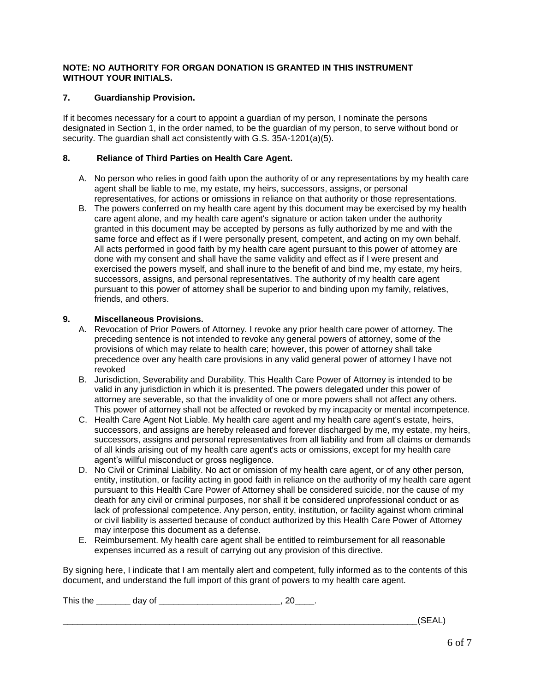# **NOTE: NO AUTHORITY FOR ORGAN DONATION IS GRANTED IN THIS INSTRUMENT WITHOUT YOUR INITIALS.**

# **7. Guardianship Provision.**

If it becomes necessary for a court to appoint a guardian of my person, I nominate the persons designated in Section 1, in the order named, to be the guardian of my person, to serve without bond or security. The guardian shall act consistently with G.S. 35A-1201(a)(5).

## **8. Reliance of Third Parties on Health Care Agent.**

- A. No person who relies in good faith upon the authority of or any representations by my health care agent shall be liable to me, my estate, my heirs, successors, assigns, or personal representatives, for actions or omissions in reliance on that authority or those representations.
- B. The powers conferred on my health care agent by this document may be exercised by my health care agent alone, and my health care agent's signature or action taken under the authority granted in this document may be accepted by persons as fully authorized by me and with the same force and effect as if I were personally present, competent, and acting on my own behalf. All acts performed in good faith by my health care agent pursuant to this power of attorney are done with my consent and shall have the same validity and effect as if I were present and exercised the powers myself, and shall inure to the benefit of and bind me, my estate, my heirs, successors, assigns, and personal representatives. The authority of my health care agent pursuant to this power of attorney shall be superior to and binding upon my family, relatives, friends, and others.

## **9. Miscellaneous Provisions.**

- A. Revocation of Prior Powers of Attorney. I revoke any prior health care power of attorney. The preceding sentence is not intended to revoke any general powers of attorney, some of the provisions of which may relate to health care; however, this power of attorney shall take precedence over any health care provisions in any valid general power of attorney I have not revoked
- B. Jurisdiction, Severability and Durability. This Health Care Power of Attorney is intended to be valid in any jurisdiction in which it is presented. The powers delegated under this power of attorney are severable, so that the invalidity of one or more powers shall not affect any others. This power of attorney shall not be affected or revoked by my incapacity or mental incompetence.
- C. Health Care Agent Not Liable. My health care agent and my health care agent's estate, heirs, successors, and assigns are hereby released and forever discharged by me, my estate, my heirs, successors, assigns and personal representatives from all liability and from all claims or demands of all kinds arising out of my health care agent's acts or omissions, except for my health care agent's willful misconduct or gross negligence.
- D. No Civil or Criminal Liability. No act or omission of my health care agent, or of any other person, entity, institution, or facility acting in good faith in reliance on the authority of my health care agent pursuant to this Health Care Power of Attorney shall be considered suicide, nor the cause of my death for any civil or criminal purposes, nor shall it be considered unprofessional conduct or as lack of professional competence. Any person, entity, institution, or facility against whom criminal or civil liability is asserted because of conduct authorized by this Health Care Power of Attorney may interpose this document as a defense.
- E. Reimbursement. My health care agent shall be entitled to reimbursement for all reasonable expenses incurred as a result of carrying out any provision of this directive.

By signing here, I indicate that I am mentally alert and competent, fully informed as to the contents of this document, and understand the full import of this grant of powers to my health care agent.

This the \_\_\_\_\_\_\_\_ day of \_\_\_\_\_\_\_\_\_\_\_\_\_\_\_\_\_\_\_\_\_\_\_\_\_\_\_\_\_\_, 20\_\_\_\_.

\_\_\_\_\_\_\_\_\_\_\_\_\_\_\_\_\_\_\_\_\_\_\_\_\_\_\_\_\_\_\_\_\_\_\_\_\_\_\_\_\_\_\_\_\_\_\_\_\_\_\_\_\_\_\_\_\_\_\_\_\_\_\_\_\_\_\_\_\_\_\_\_\_(SEAL)